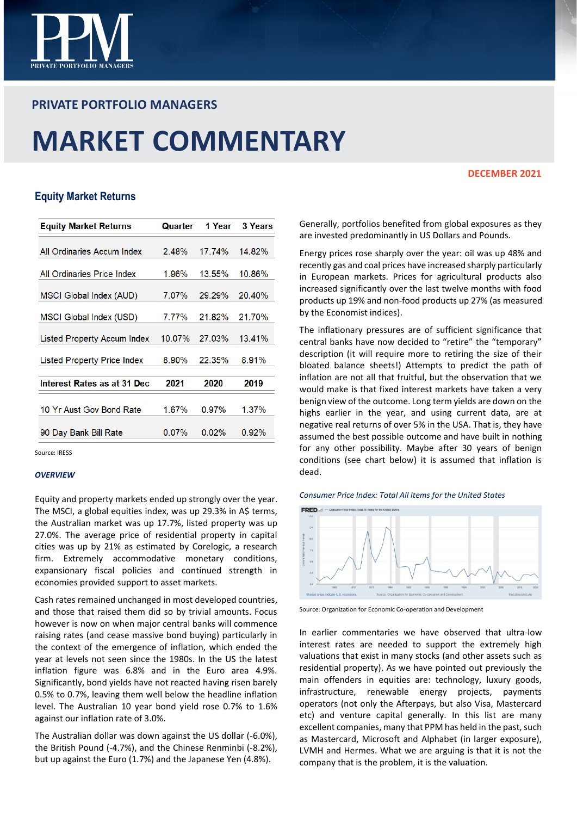

# **PRIVATE PORTFOLIO MANAGERS**

# **MARKET COMMENTARY**

## **DECEMBER 2021**

# **Equity Market Returns**

| <b>Equity Market Returns</b> | Quarter  | 1 Year   | <b>3 Years</b> |
|------------------------------|----------|----------|----------------|
|                              |          |          |                |
| All Ordinaries Accum Index   | $2.48\%$ | 17.74%   | 14.82%         |
| All Ordinaries Price Index   | 1.96%    | 13.55%   | 10.86%         |
| MSCI Global Index (AUD)      | 7.07%    | 29.29%   | 20.40%         |
| MSCI Global Index (USD)      | 7.77%    | 21.82%   | 21.70%         |
| Listed Property Accum Index  | 10.07%   | 27.03%   | 13.41%         |
| Listed Property Price Index  | 8.90%    | 22.35%   | 8.91%          |
| Interest Rates as at 31 Dec  | 2021     | 2020     | 2019           |
| 10 Yr Aust Gov Bond Rate     | 1.67%    | $0.97\%$ | 1.37%          |
| 90 Day Bank Bill Rate        | $0.07\%$ | 0.02%    | $0.92\%$       |

Source: IRESS

## *OVERVIEW*

Equity and property markets ended up strongly over the year. The MSCI, a global equities index, was up 29.3% in A\$ terms, the Australian market was up 17.7%, listed property was up 27.0%. The average price of residential property in capital cities was up by 21% as estimated by Corelogic, a research firm. Extremely accommodative monetary conditions, expansionary fiscal policies and continued strength in economies provided support to asset markets.

Cash rates remained unchanged in most developed countries, and those that raised them did so by trivial amounts. Focus however is now on when major central banks will commence raising rates (and cease massive bond buying) particularly in the context of the emergence of inflation, which ended the year at levels not seen since the 1980s. In the US the latest inflation figure was 6.8% and in the Euro area 4.9%. Significantly, bond yields have not reacted having risen barely 0.5% to 0.7%, leaving them well below the headline inflation level. The Australian 10 year bond yield rose 0.7% to 1.6% against our inflation rate of 3.0%.

The Australian dollar was down against the US dollar (-6.0%), the British Pound (-4.7%), and the Chinese Renminbi (-8.2%), but up against the Euro (1.7%) and the Japanese Yen (4.8%).

Generally, portfolios benefited from global exposures as they are invested predominantly in US Dollars and Pounds.

Energy prices rose sharply over the year: oil was up 48% and recently gas and coal prices have increased sharply particularly in European markets. Prices for agricultural products also increased significantly over the last twelve months with food products up 19% and non-food products up 27% (as measured by the Economist indices).

The inflationary pressures are of sufficient significance that central banks have now decided to "retire" the "temporary" description (it will require more to retiring the size of their bloated balance sheets!) Attempts to predict the path of inflation are not all that fruitful, but the observation that we would make is that fixed interest markets have taken a very benign view of the outcome. Long term yields are down on the highs earlier in the year, and using current data, are at negative real returns of over 5% in the USA. That is, they have assumed the best possible outcome and have built in nothing for any other possibility. Maybe after 30 years of benign conditions (see chart below) it is assumed that inflation is dead.





Source: Organization for Economic Co-operation and Development

In earlier commentaries we have observed that ultra-low interest rates are needed to support the extremely high valuations that exist in many stocks (and other assets such as residential property). As we have pointed out previously the main offenders in equities are: technology, luxury goods, infrastructure, renewable energy projects, payments operators (not only the Afterpays, but also Visa, Mastercard etc) and venture capital generally. In this list are many excellent companies, many that PPM has held in the past, such as Mastercard, Microsoft and Alphabet (in larger exposure), LVMH and Hermes. What we are arguing is that it is not the company that is the problem, it is the valuation.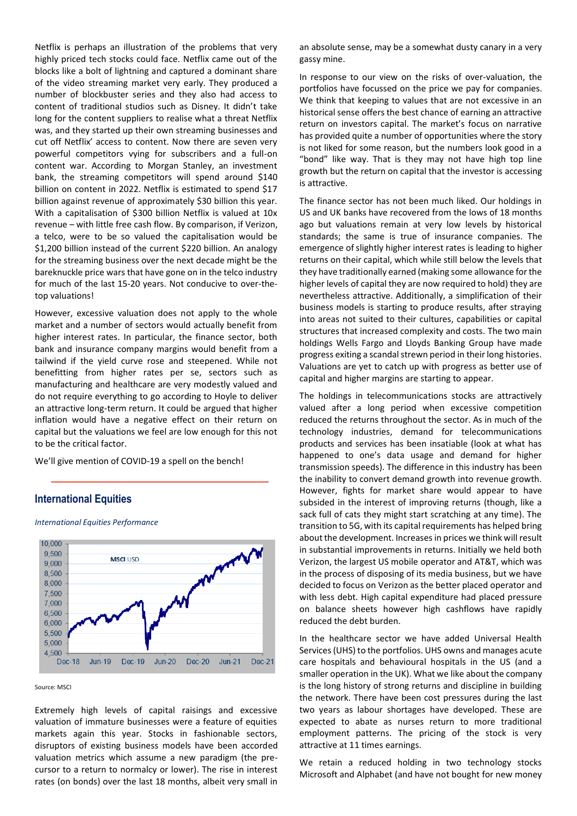Netflix is perhaps an illustration of the problems that very highly priced tech stocks could face. Netflix came out of the blocks like a bolt of lightning and captured a dominant share of the video streaming market very early. They produced a number of blockbuster series and they also had access to content of traditional studios such as Disney. It didn't take long for the content suppliers to realise what a threat Netflix was, and they started up their own streaming businesses and cut off Netflix' access to content. Now there are seven very powerful competitors vying for subscribers and a full-on content war. According to Morgan Stanley, an investment bank, the streaming competitors will spend around \$140 billion on content in 2022. Netflix is estimated to spend \$17 billion against revenue of approximately \$30 billion this year. With a capitalisation of \$300 billion Netflix is valued at 10x revenue – with little free cash flow. By comparison, if Verizon, a telco, were to be so valued the capitalisation would be \$1,200 billion instead of the current \$220 billion. An analogy for the streaming business over the next decade might be the bareknuckle price wars that have gone on in the telco industry for much of the last 15-20 years. Not conducive to over-thetop valuations!

However, excessive valuation does not apply to the whole market and a number of sectors would actually benefit from higher interest rates. In particular, the finance sector, both bank and insurance company margins would benefit from a tailwind if the yield curve rose and steepened. While not benefitting from higher rates per se, sectors such as manufacturing and healthcare are very modestly valued and do not require everything to go according to Hoyle to deliver an attractive long-term return. It could be argued that higher inflation would have a negative effect on their return on capital but the valuations we feel are low enough for this not to be the critical factor.

We'll give mention of COVID-19 a spell on the bench!

# **International Equities**



*International Equities Performance*

#### Source: MSCI

Extremely high levels of capital raisings and excessive valuation of immature businesses were a feature of equities markets again this year. Stocks in fashionable sectors, disruptors of existing business models have been accorded valuation metrics which assume a new paradigm (the precursor to a return to normalcy or lower). The rise in interest rates (on bonds) over the last 18 months, albeit very small in an absolute sense, may be a somewhat dusty canary in a very gassy mine.

In response to our view on the risks of over-valuation, the portfolios have focussed on the price we pay for companies. We think that keeping to values that are not excessive in an historical sense offers the best chance of earning an attractive return on investors capital. The market's focus on narrative has provided quite a number of opportunities where the story is not liked for some reason, but the numbers look good in a "bond" like way. That is they may not have high top line growth but the return on capital that the investor is accessing is attractive.

The finance sector has not been much liked. Our holdings in US and UK banks have recovered from the lows of 18 months ago but valuations remain at very low levels by historical standards; the same is true of insurance companies. The emergence of slightly higher interest rates is leading to higher returns on their capital, which while still below the levels that they have traditionally earned (making some allowance for the higher levels of capital they are now required to hold) they are nevertheless attractive. Additionally, a simplification of their business models is starting to produce results, after straying into areas not suited to their cultures, capabilities or capital structures that increased complexity and costs. The two main holdings Wells Fargo and Lloyds Banking Group have made progress exiting a scandal strewn period in their long histories. Valuations are yet to catch up with progress as better use of capital and higher margins are starting to appear.

The holdings in telecommunications stocks are attractively valued after a long period when excessive competition reduced the returns throughout the sector. As in much of the technology industries, demand for telecommunications products and services has been insatiable (look at what has happened to one's data usage and demand for higher transmission speeds). The difference in this industry has been the inability to convert demand growth into revenue growth. However, fights for market share would appear to have subsided in the interest of improving returns (though, like a sack full of cats they might start scratching at any time). The transition to 5G, with its capital requirements has helped bring about the development. Increases in prices we think will result in substantial improvements in returns. Initially we held both Verizon, the largest US mobile operator and AT&T, which was in the process of disposing of its media business, but we have decided to focus on Verizon as the better placed operator and with less debt. High capital expenditure had placed pressure on balance sheets however high cashflows have rapidly reduced the debt burden.

In the healthcare sector we have added Universal Health Services (UHS) to the portfolios. UHS owns and manages acute care hospitals and behavioural hospitals in the US (and a smaller operation in the UK). What we like about the company is the long history of strong returns and discipline in building the network. There have been cost pressures during the last two years as labour shortages have developed. These are expected to abate as nurses return to more traditional employment patterns. The pricing of the stock is very attractive at 11 times earnings.

We retain a reduced holding in two technology stocks Microsoft and Alphabet (and have not bought for new money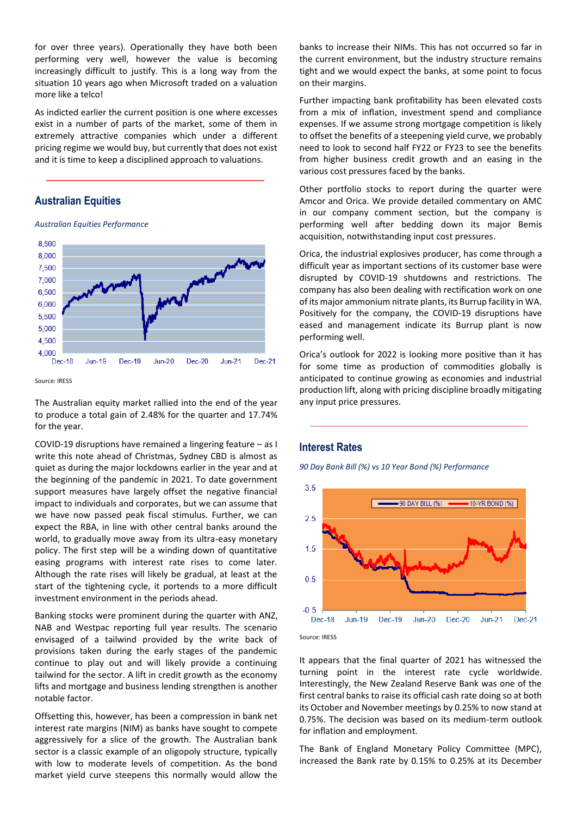for over three years). Operationally they have both been performing very well, however the value is becoming increasingly difficult to justify. This is a long way from the situation 10 years ago when Microsoft traded on a valuation more like a telco!

As indicted earlier the current position is one where excesses exist in a number of parts of the market, some of them in extremely attractive companies which under a different pricing regime we would buy, but currently that does not exist and it is time to keep a disciplined approach to valuations.

## **Australian Equities**

*Australian Equities Performance*



Source: IRESS

The Australian equity market rallied into the end of the year to produce a total gain of 2.48% for the quarter and 17.74% for the year.

COVID-19 disruptions have remained a lingering feature – as I write this note ahead of Christmas, Sydney CBD is almost as quiet as during the major lockdowns earlier in the year and at the beginning of the pandemic in 2021. To date government support measures have largely offset the negative financial impact to individuals and corporates, but we can assume that we have now passed peak fiscal stimulus. Further, we can expect the RBA, in line with other central banks around the world, to gradually move away from its ultra-easy monetary policy. The first step will be a winding down of quantitative easing programs with interest rate rises to come later. Although the rate rises will likely be gradual, at least at the start of the tightening cycle, it portends to a more difficult investment environment in the periods ahead.

Banking stocks were prominent during the quarter with ANZ, NAB and Westpac reporting full year results. The scenario envisaged of a tailwind provided by the write back of provisions taken during the early stages of the pandemic continue to play out and will likely provide a continuing tailwind for the sector. A lift in credit growth as the economy lifts and mortgage and business lending strengthen is another notable factor.

Offsetting this, however, has been a compression in bank net interest rate margins (NIM) as banks have sought to compete aggressively for a slice of the growth. The Australian bank sector is a classic example of an oligopoly structure, typically with low to moderate levels of competition. As the bond market yield curve steepens this normally would allow the

banks to increase their NIMs. This has not occurred so far in the current environment, but the industry structure remains tight and we would expect the banks, at some point to focus on their margins.

Further impacting bank profitability has been elevated costs from a mix of inflation, investment spend and compliance expenses. If we assume strong mortgage competition is likely to offset the benefits of a steepening yield curve, we probably need to look to second half FY22 or FY23 to see the benefits from higher business credit growth and an easing in the various cost pressures faced by the banks.

Other portfolio stocks to report during the quarter were Amcor and Orica. We provide detailed commentary on AMC in our company comment section, but the company is performing well after bedding down its major Bemis acquisition, notwithstanding input cost pressures.

Orica, the industrial explosives producer, has come through a difficult year as important sections of its customer base were disrupted by COVID-19 shutdowns and restrictions. The company has also been dealing with rectification work on one of its major ammonium nitrate plants, its Burrup facility in WA. Positively for the company, the COVID-19 disruptions have eased and management indicate its Burrup plant is now performing well.

Orica's outlook for 2022 is looking more positive than it has for some time as production of commodities globally is anticipated to continue growing as economies and industrial production lift, along with pricing discipline broadly mitigating any input price pressures.

## **Interest Rates**

*90 Day Bank Bill (%) vs 10 Year Bond (%) Performance*





It appears that the final quarter of 2021 has witnessed the turning point in the interest rate cycle worldwide. Interestingly, the New Zealand Reserve Bank was one of the first central banks to raise its official cash rate doing so at both its October and November meetings by 0.25% to now stand at 0.75%. The decision was based on its medium-term outlook for inflation and employment.

The Bank of England Monetary Policy Committee (MPC), increased the Bank rate by 0.15% to 0.25% at its December